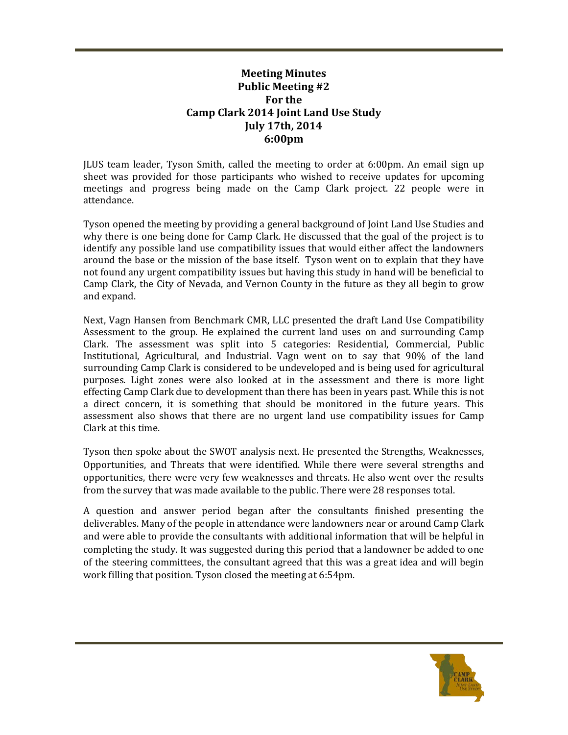## **Meeting Minutes Public Meeting #2 For the Camp Clark 2014 Joint Land Use Study July 17th, 2014 6:00pm**

JLUS team leader, Tyson Smith, called the meeting to order at 6:00pm. An email sign up sheet was provided for those participants who wished to receive updates for upcoming meetings and progress being made on the Camp Clark project. 22 people were in attendance.

Tyson opened the meeting by providing a general background of Joint Land Use Studies and why there is one being done for Camp Clark. He discussed that the goal of the project is to identify any possible land use compatibility issues that would either affect the landowners around the base or the mission of the base itself. Tyson went on to explain that they have not found any urgent compatibility issues but having this study in hand will be beneficial to Camp Clark, the City of Nevada, and Vernon County in the future as they all begin to grow and expand.

Next, Vagn Hansen from Benchmark CMR, LLC presented the draft Land Use Compatibility Assessment to the group. He explained the current land uses on and surrounding Camp Clark. The assessment was split into 5 categories: Residential, Commercial, Public Institutional, Agricultural, and Industrial. Vagn went on to say that 90% of the land surrounding Camp Clark is considered to be undeveloped and is being used for agricultural purposes. Light zones were also looked at in the assessment and there is more light effecting Camp Clark due to development than there has been in years past. While this is not a direct concern, it is something that should be monitored in the future years. This assessment also shows that there are no urgent land use compatibility issues for Camp Clark at this time.

Tyson then spoke about the SWOT analysis next. He presented the Strengths, Weaknesses, Opportunities, and Threats that were identified. While there were several strengths and opportunities, there were very few weaknesses and threats. He also went over the results from the survey that was made available to the public. There were 28 responses total.

A question and answer period began after the consultants finished presenting the deliverables. Many of the people in attendance were landowners near or around Camp Clark and were able to provide the consultants with additional information that will be helpful in completing the study. It was suggested during this period that a landowner be added to one of the steering committees, the consultant agreed that this was a great idea and will begin work filling that position. Tyson closed the meeting at 6:54pm.